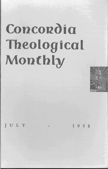# **Concordia Theological Montbly**



 $\text{ULY}$  . 1958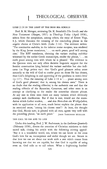# **THEOLOGICAL OBSERVER**

#### LUKE 2: 14 IN THE LIGHT OF THE DEAD SEA SCROLLS

Prof. R M. Metzger, reviewing Dr. K. Stendahl's *The Scrolls and the New Testament* (Harper, 1957) in *Theology Today* (April 1958), selects from the symposium, among others, the essay of Ernest Vogt, S. J., which discusses the meaning of the concluding phrase in the angelic chorus at Christ's birth (Luke 2: 14). The reviewer writes: "The nominative *eudokia,* in the inferior *textus receptus,* was rendered by the King James translators, '. . . on earth peace, good will among men.' The RSV translators, choosing the variant reading *eudokias*  witnessed by the earlier Greek manuscripts, render the phrase, '. . . on earth peace among men with whom he is pleased.' The evidence in the Qumran texts not only offers decisive linguistic support for the Semitic construction lying behind the variant *eudokias* but also indicates (as Vogt points out) that 'God's good pleasure refers more naturally to the will of God to confer grace on those He has chosen, than God's delighting in and approving of the goodness in men's lives' (p. 117). Thus the meaning of Luke  $2:14$  is  $\ldots$  peace among men of God's good pleasure,' that is, among his chosen ones." There is no doubt that the reading  $\epsilon \hat{v} \delta \omega \hat{u} \alpha \zeta$  is the authentic one and that the reading εὐδοχία of the Byzantine, Caesarean, and other texts is an attempt at clarifying to the reader the somewhat obscure phrase. At any rate in these texts there are many variants which obviously attempt such clarification. But if that is true, would not the emendation which Luther renders, ... *und den Menschen ein W ohlgefallen,*  with its application to all men, much better explain the phrase than its restricted sense, "among his chosen ones"? At least, the thought that God, *Messia nato,* is pleased with all men, agrees very well with the preceding phrase, "on earth peace." JOHN THEODORE MUELLER

## THE CALL TO DIE AND TO LIVE

Under this heading, Prof. J. W. Bachmann, in the *Lutheran Quarterly*  (February 1958), directs the attention of Christian ministers to their sacred task, closing his article with the following stirring appeal: "But it is a wonderful world, too, where we can know in the cross God's love for us, incompetent and sinful though we are. Secure in that love we can set about our work with a zest which comes from knowing not that we are capable, but that God is capable of using even us. God calls us to call others. What a frightening burden!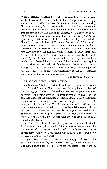What a glorious responsibility! There is something of both, even as the Christian life seems to be full of strange mixtures of joy and sorrow. . . . When we face the responsibility of communicating God's call to others, there is bound to be a mixture of anticipation and hesitation. But in the presence of God and in the community of those who are reconciled to him and to one another, we can know joy in the midst of inevitable sorrows: we can know the life that grows out of dying daily. 'Whosoever shall lose his life for My sake and the Gospel's, the same shall save it.''' Before that, we read: "Without the cross the call to live is nonsense; without the cross the call to die is impossible. In the cross the call to live and the call to die are not *two calls but one,* the one call which is basic to every other calL We are called to die with Christ in order that we may also live with him." Again: "Men would like to think that if only they could be good-hearted, law-abiding citizens and follow a few simple psychological principles, they and their families would be healthy and prosperous .... This is probably the most popular so-called religion of our *time,* but it is as far from Christianity as the most ignorant superstition of the world's remotest areas."

JOHN THEODORE MUELLER

## EXCERPTS FROM RELIGIOUS NEWS SERVICE

Stockholm. - A bill authorizing the ordination of women as pastors in the Swedish Lutheran Church was passed here by both chambers of the Riksdag (Parliament). Theoretically the measure permits women to receive the priestly office in the state church as of July 1959. It climaxes a fight for the ordination of women begun in 1919. However, the ordination of women ministers will not be possible until the bill is approved by the Lutheran Church Convocation, which will meet in extraordinary session next falL At its last biennial sessions, held in October 1957, the convocation voted 62-36 against such ordination. Should the convocation again exercise its veto right, a parliamentary measure proposing abolition of this privilege is expected to be submitted to the Riksdag.

Dr. Yngve Brilioth, archbishop of Uppsala and primate of the Swedish Lutheran Church, has submitted his resignation on reaching the retiring age of 67. Elections will be held in the dioceses in June to choose three candidates from among whom King Gustaf will name a successor, probably in August.

Augusta, Wis. - Seven brothers, all ministers, participated in the dedication of the new \$150,000 Grace Lutheran Church here May 4. The Rev. Edmund Schedler, pastor of the 850-member congregation,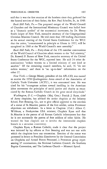Buck Hill Falls, Pa. - The proposed merger of the World Council of Churches and the International Missionary Council was hailed here as a "dramatic symbol" of the ecumenical movement, by Dr. Henry Smith Leiper of New York, executive secretary of the Congregational Christian Missions Council. He told more than 100 leading churchmen at the annual meeting of the United States Conference for the WCC that the union, "consummated in principle at Ghana in 1957, will be completed in 1960 at the World Council's next assembly."

*Buck Hill Falls, Pa.* - Forty-three of the 170 member communions of the World Council of Churches admit women to the "full ministry," Dr. Roswell P. Barnes of New York, executive secretary of the United States Conference for the WCC, reported here. He said 24 other denominations "ordain women to a limited ministry of one kind or another." Of the remaining council members, he said, 76 "do not ordain women," and there is "no up-to-date" information on the other 27.

*New York.-George* Meany, president of the AFL-CIO, was named to receive the 1958 Quadragesimo Anno award of the Association of Catholic Trade Unionists (ACTU), it was announced here. He was cited for his "courageous actions toward instilling in the American labor movement the principles of social justice and charity as enunciated by the Roman Catholic Church in the great social encyclicals."

*Washington, D. C.*-Chaplain (Maj. Gen.) Patrick J. Ryan, chief of Army chaplains, has advised the senior chaplain at the Infantry School, Fort Benning, Ga., not to give official approval to the erection of a statue of St. Maurice, patron of the foot soldier, unless Protestant objections are withdrawn. In a letter to Chaplain (Col.) Albert C. Wildman, a Presbyterian USA minister, Chaplain Ryan said that St. Maurice is the patron of all Roman Catholic infantrymen but that he is not necessarily the patron of foot soldiers of other faiths. He warned the base chaplain not to involve the intercreedal chaplain branch in a sectarian controversy.

Chaplain Ryan, a Roman Catholic, made it clear that the project was initiated by lay officers at Fort Benning and was not one with which the chaplains have any connection. Erection of the statue was protested in letters to President Eisenhower by the General Commission on Chaplains and Armed Forces Personnel, a Protestant group representing 37 communions, the National Lutheran Council, the Southern Baptist Convention, and The Lutheran Church - Missouri Synod.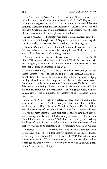*Durham,* N. C. - Some 250 North Carolina Negro ministers attended an all-day conference here designed to add 250,000 Negro voters to the state registration books. The session was sponsored by the National Association for the Advancement of Colored People and the Southern Christian Leadership Conference. The meeting was the first of a series of statewide rallies planned in the South.

Little Rock, Ark. - Testimony was completed in chancery court here in trial of a suit brought by 10 Negro clergymen and attacking the constitutionality of two state laws aimed at preserving segregation.

Karachi, Pakistan. -- Several hundred thousand Christian farmers in Pakistan, who were dispossessed by fleeing Indian Moslems ten years ago, will be given new land by the government.

Pakistan President Iskander Mirza gave the assurance to Dr. R. Norris Wilson, executive director of Church World Service, now visiting the agency's centers in 22 countries. CWS is the relief arm of the National Council of Churches in the U. S.

Santa Barbara, Calif. - Dr. John W. Behnken, President of The Lutheran Church - Missouri Synod, said here the denomination is not "aloof" from the rest of Lutheranism. Consultations toward bridging theological gulfs which have kept Missouri Synod Lutherans separated from most other Lutheran groups will be continued, Dr. Behnken told delegates to a meeting of the church's Southern California District. He said the Synod will be represented at meetings (at Oslo, Norway, in August) of the commission on theology of the Lutheran World Federation.

*New York, N.Y.* - Property valued at more than \$3 million has been turned over to the Andhra Evangelical Lutheran Church at Guntur, India, by the United Lutheran Church in America. Dr. Earl S. Erb, executive secretary of the denomination's Board of Foreign Missions, said the property includes eight hospitals, a college, five high schools and training schools, and 800 elementary schools. In addition, the United Lutherans are deeding 2,000 churches, chapels, and auxiliary buildings of worship to the Indian Church. Official transfer of the property was made at ceremonies in St. Matthew's Church in Guntur.

*Washington, D.C.* - The crime rate in the United States set a new all-time record in 1957, J. Edgar Hoover, director of the Federal Bureau of Investigation, disclosed here. A total of 2,796,400 crimes were known to police in 1957, an increase of 9.1 per cent over the previous record set the year before, Mr. Hoover said in the FBI's annual publication "Uniform Crime Reports."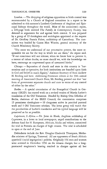London. - The dropping of religious opposition to birth control was recommended by a Church of England committee in a report to be submitted to this summer's Lambeth Conference of Anglican and Episcopal bishops throughout the world. Most of the committee's report, a 220-page book entitled *The Family in Contemporary Society,* was devoted to arguments for and against birth control. It was prepared by a group of 19 theologians and sociologists appointed at the request of Dr. Geoffrey Francis Fisher, archbishop of Canterbury. The committee was headed by Canon Max Warren, general secretary of the Church Missionary Society.

"The more we understand of our procreative powers, the more responsible we are for the way in which we use them," the report said. "If our conscience will not tolerate, when we know how to prevent it, a torrent of infant deaths, no more should we, with the knowledge we have, encourage an ungoverned spate of unwanted births."

*Chicago.* - Separation of church and state in this country is "harmonious and co-operative, for both institutions are founded upon faith in God and belief in man's dignity," Assistant Secretary of State Andrew H. Berding said here. Addressing Protestant editors at the 39th annual meeting of Associated Church Press, Mr. Berding pointed out that "our form of government separates church and state in terms of any control of either by the other."

Berlin. - A special commission of the Evangelical Church in Germany (EKID) has started work on a revised version of Martin Luther's translation of the Old Testament. Headed by Bishop Otto Dibelius of Berlin, chairman of the EKID Council, the commission comprises 15 prominent theologians - 10 clergymen active in practical pastoral work and 5 Old Testament scholars. The latter group will watch that the peculiarities of Luther's translation and his typical language will be preserved as far as possible.

*Capetown,* S. *Africa.* - Dr. Joost de Blank, Anglican archbishop of Capetown, in a letter to local newspapers, urged contributions to the defense fund for 91 Europeans, Africans, blacks and whites, committed for trial in Pretoria on charges of high treason. The trial is scheduled to open at the end of June.

Defendants include the Rev. Douglas Chadwick Thompson, Methodist minister of Springs, Transvaal. All are opponents of South Africa's apartheid (racial segregation) policies. Originally 156 men and women were arrested in December 1956 on the treason charges, but a longprotracted magistrate's hearing resulted in charges against all but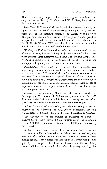91 defendants being dropped. Two of the original defendants were clergymen - the Revs. J. H. Calata and W. S. Gave, both African Anglican missionaries.

*New York, N.Y.* - A Christian Technical Assistance program, designed to speed up relief to the suffering millions of Asia, was proposed here to the executive committee of Church World Service. The program, which would permit interchange of church specialists in agriculture, child care, welfare, and handicrafts, was submitted by Dr. R. Norris Wilson, CWS executive director, in a report on his global tour of church relief and rehabilitation work.

*Washington, D.C.* - Congressional efforts to strengthen enforcement of Federal laws against the mailing of obscenity received a boost here when senators Estes Kefauver (D.-Tenn.) and William Langer (R.- N. Dak.) introduced a bill in the Senate substantially similar to one just approved by the Judiciary Committee in the House.

Philadelphia. - Evangelical and Reformed Church members were urged to give strong support to public schools, in a statement drafted by the denomination's Board of Christian Education at its annual meeting here. The statement also opposed diversion of tax moneys to nonpublic schools and endorsed the released-time program for religious instruction, higher school taxes and teachers' salaries where needed to improve schools, and a "comprehensive or balanced" curriculum instead of overemphasizing science.

Geneva. - There are nearly 71 million Lutherans in the world, and they represent 32 per cent of all Protestants, according to the 1958 directory of the Lutheran World Federation. Seventy per cent of all Lutherans are represented in the federation, the directory said.

A breakdown showed that 49,600,000 Lutherans belong to member churches of the federation and 5,300,000 to nonmember churches. An additional 15,800,000 belong to the United Churches in Germany.

The directory placed the number of Lutherans in Europe at 59,500,000, of whom 42,900,000 are represented in the federation. Of the 8,400,000 Lutherans in America, 5,700,000 are embraced by the federation.

Berlin. - Church leaders warned here that a new East German decree, banning religious instruction in high schools and colleges, may also be used to subject elementary school Catechism classes to Communist control. They pointed out that the decree, which was promulgated by Fritz Lange, the East German education minister, had already banned religious instruction in the higher elementary school grades.